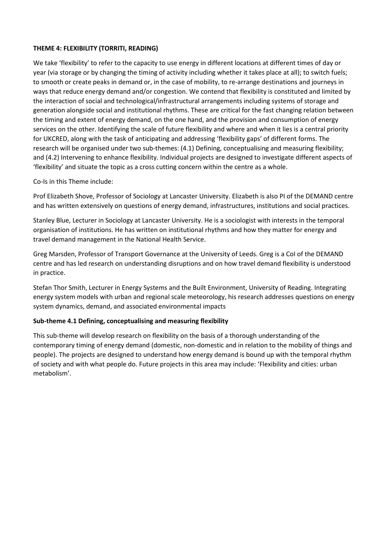### **THEME 4: FLEXIBILITY (TORRITI, READING)**

We take 'flexibility' to refer to the capacity to use energy in different locations at different times of day or year (via storage or by changing the timing of activity including whether it takes place at all); to switch fuels; to smooth or create peaks in demand or, in the case of mobility, to re-arrange destinations and journeys in ways that reduce energy demand and/or congestion. We contend that flexibility is constituted and limited by the interaction of social and technological/infrastructural arrangements including systems of storage and generation alongside social and institutional rhythms. These are critical for the fast changing relation between the timing and extent of energy demand, on the one hand, and the provision and consumption of energy services on the other. Identifying the scale of future flexibility and where and when it lies is a central priority for UKCRED, along with the task of anticipating and addressing 'flexibility gaps' of different forms. The research will be organised under two sub-themes: (4.1) Defining, conceptualising and measuring flexibility; and (4.2) Intervening to enhance flexibility. Individual projects are designed to investigate different aspects of 'flexibility' and situate the topic as a cross cutting concern within the centre as a whole.

Co-Is in this Theme include:

Prof Elizabeth Shove, Professor of Sociology at Lancaster University. Elizabeth is also PI of the DEMAND centre and has written extensively on questions of energy demand, infrastructures, institutions and social practices.

Stanley Blue, Lecturer in Sociology at Lancaster University. He is a sociologist with interests in the temporal organisation of institutions. He has written on institutional rhythms and how they matter for energy and travel demand management in the National Health Service.

Greg Marsden, Professor of Transport Governance at the University of Leeds. Greg is a CoI of the DEMAND centre and has led research on understanding disruptions and on how travel demand flexibility is understood in practice.

Stefan Thor Smith, Lecturer in Energy Systems and the Built Environment, University of Reading. Integrating energy system models with urban and regional scale meteorology, his research addresses questions on energy system dynamics, demand, and associated environmental impacts

#### **Sub-theme 4.1 Defining, conceptualising and measuring flexibility**

This sub-theme will develop research on flexibility on the basis of a thorough understanding of the contemporary timing of energy demand (domestic, non-domestic and in relation to the mobility of things and people). The projects are designed to understand how energy demand is bound up with the temporal rhythm of society and with what people do. Future projects in this area may include: 'Flexibility and cities: urban metabolism'.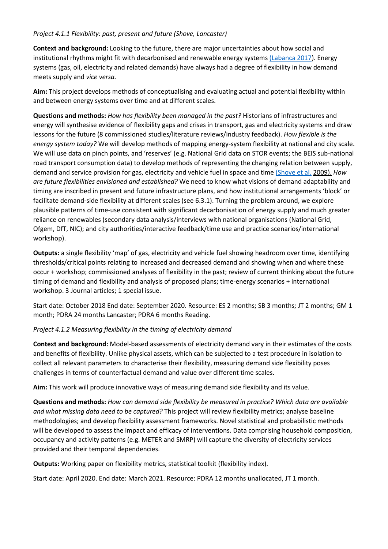## *Project 4.1.1 Flexibility: past, present and future (Shove, Lancaster)*

**Context and background:** Looking to the future, there are major uncertainties about how social and institutional rhythms might fit with decarbonised and renewable energy system[s \(Labanca 2017\)](http://www.springer.com/gb/book/9783319337524). Energy systems (gas, oil, electricity and related demands) have always had a degree of flexibility in how demand meets supply and *vice versa.*

**Aim:** This project develops methods of conceptualising and evaluating actual and potential flexibility within and between energy systems over time and at different scales.

**Questions and methods:** *How has flexibility been managed in the past?* Historians of infrastructures and energy will synthesise evidence of flexibility gaps and crises in transport, gas and electricity systems and draw lessons for the future (8 commissioned studies/literature reviews/industry feedback). *How flexible is the energy system today?* We will develop methods of mapping energy-system flexibility at national and city scale. We will use data on pinch points, and 'reserves' (e.g. National Grid data on STOR events; the BEIS sub-national road transport consumption data) to develop methods of representing the changing relation between supply, demand and service provision for gas, electricity and vehicle fuel in space and time [\(Shove et al.](https://www.bloomsbury.com/uk/time-consumption-and-everyday-life-9781847883643/) 2009). *How are future flexibilities envisioned and established?* We need to know what visions of demand adaptability and timing are inscribed in present and future infrastructure plans, and how institutional arrangements 'block' or facilitate demand-side flexibility at different scales (see 6.3.1). Turning the problem around, we explore plausible patterns of time-use consistent with significant decarbonisation of energy supply and much greater reliance on renewables (secondary data analysis/interviews with national organisations (National Grid, Ofgem, DfT, NIC); and city authorities/interactive feedback/time use and practice scenarios/international workshop).

**Outputs:** a single flexibility 'map' of gas, electricity and vehicle fuel showing headroom over time, identifying thresholds/critical points relating to increased and decreased demand and showing when and where these occur + workshop; commissioned analyses of flexibility in the past; review of current thinking about the future timing of demand and flexibility and analysis of proposed plans; time-energy scenarios + international workshop. 3 Journal articles; 1 special issue.

Start date: October 2018 End date: September 2020. Resource: ES 2 months; SB 3 months; JT 2 months; GM 1 month; PDRA 24 months Lancaster; PDRA 6 months Reading.

#### *Project 4.1.2 Measuring flexibility in the timing of electricity demand*

**Context and background:** Model-based assessments of electricity demand vary in their estimates of the costs and benefits of flexibility. Unlike physical assets, which can be subjected to a test procedure in isolation to collect all relevant parameters to characterise their flexibility, measuring demand side flexibility poses challenges in terms of counterfactual demand and value over different time scales.

**Aim:** This work will produce innovative ways of measuring demand side flexibility and its value.

**Questions and methods:** *How can demand side flexibility be measured in practice? Which data are available and what missing data need to be captured?* This project will review flexibility metrics; analyse baseline methodologies; and develop flexibility assessment frameworks. Novel statistical and probabilistic methods will be developed to assess the impact and efficacy of interventions. Data comprising household composition, occupancy and activity patterns (e.g. METER and SMRP) will capture the diversity of electricity services provided and their temporal dependencies.

**Outputs:** Working paper on flexibility metrics, statistical toolkit (flexibility index).

Start date: April 2020. End date: March 2021. Resource: PDRA 12 months unallocated, JT 1 month.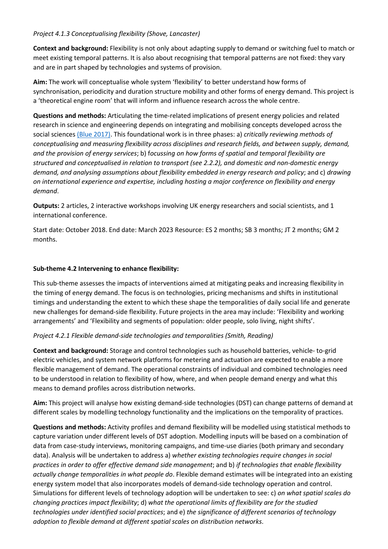# *Project 4.1.3 Conceptualising flexibility (Shove, Lancaster)*

**Context and background:** Flexibility is not only about adapting supply to demand or switching fuel to match or meet existing temporal patterns. It is also about recognising that temporal patterns are not fixed: they vary and are in part shaped by technologies and systems of provision.

**Aim:** The work will conceptualise whole system 'flexibility' to better understand how forms of synchronisation, periodicity and duration structure mobility and other forms of energy demand. This project is a 'theoretical engine room' that will inform and influence research across the whole centre.

**Questions and methods:** Articulating the time-related implications of present energy policies and related research in science and engineering depends on integrating and mobilising concepts developed across the social sciences [\(Blue 2017\).](https://doi.org/10.1177/0961463X17702165) This foundational work is in three phases: a) *critically reviewing methods of conceptualising and measuring flexibility across disciplines and research fields, and between supply, demand, and the provision of energy services*; b) f*ocussing on how forms of spatial and temporal flexibility are structured and conceptualised in relation to transport (see 2.2.2), and domestic and non-domestic energy demand, and analysing assumptions about flexibility embedded in energy research and policy*; and c) *drawing on international experience and expertise, including hosting a major conference on flexibility and energy demand*.

**Outputs:** 2 articles, 2 interactive workshops involving UK energy researchers and social scientists, and 1 international conference.

Start date: October 2018. End date: March 2023 Resource: ES 2 months; SB 3 months; JT 2 months; GM 2 months.

# **Sub-theme 4.2 Intervening to enhance flexibility:**

This sub-theme assesses the impacts of interventions aimed at mitigating peaks and increasing flexibility in the timing of energy demand. The focus is on technologies, pricing mechanisms and shifts in institutional timings and understanding the extent to which these shape the temporalities of daily social life and generate new challenges for demand-side flexibility. Future projects in the area may include: 'Flexibility and working arrangements' and 'Flexibility and segments of population: older people, solo living, night shifts'.

# *Project 4.2.1 Flexible demand-side technologies and temporalities (Smith, Reading)*

**Context and background:** Storage and control technologies such as household batteries, vehicle- to-grid electric vehicles, and system network platforms for metering and actuation are expected to enable a more flexible management of demand. The operational constraints of individual and combined technologies need to be understood in relation to flexibility of how, where, and when people demand energy and what this means to demand profiles across distribution networks.

**Aim:** This project will analyse how existing demand-side technologies (DST) can change patterns of demand at different scales by modelling technology functionality and the implications on the temporality of practices.

**Questions and methods:** Activity profiles and demand flexibility will be modelled using statistical methods to capture variation under different levels of DST adoption. Modelling inputs will be based on a combination of data from case-study interviews, monitoring campaigns, and time-use diaries (both primary and secondary data). Analysis will be undertaken to address a) *whether existing technologies require changes in social practices in order to offer effective demand side management*; and b) *if technologies that enable flexibility actually change temporalities in what people do*. Flexible demand estimates will be integrated into an existing energy system model that also incorporates models of demand-side technology operation and control. Simulations for different levels of technology adoption will be undertaken to see: c) *on what spatial scales do changing practices impact flexibility*; d) *what the operational limits of flexibility are for the studied technologies under identified social practices*; and e) *the significance of different scenarios of technology adoption to flexible demand at different spatial scales on distribution networks*.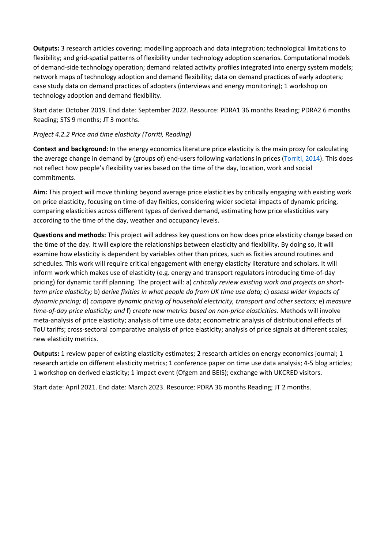**Outputs:** 3 research articles covering: modelling approach and data integration; technological limitations to flexibility; and grid-spatial patterns of flexibility under technology adoption scenarios. Computational models of demand-side technology operation; demand related activity profiles integrated into energy system models; network maps of technology adoption and demand flexibility; data on demand practices of early adopters; case study data on demand practices of adopters (interviews and energy monitoring); 1 workshop on technology adoption and demand flexibility.

Start date: October 2019. End date: September 2022. Resource: PDRA1 36 months Reading; PDRA2 6 months Reading; STS 9 months; JT 3 months.

# *Project 4.2.2 Price and time elasticity (Torriti, Reading)*

**Context and background:** In the energy economics literature price elasticity is the main proxy for calculating the average change in demand by (groups of) end-users following variations in prices [\(Torriti, 2014\)](http://www.sciencedirect.com/science/article/pii/S1364032114003591?via%3Dihub). This does not reflect how people's flexibility varies based on the time of the day, location, work and social commitments.

**Aim:** This project will move thinking beyond average price elasticities by critically engaging with existing work on price elasticity, focusing on time-of-day fixities, considering wider societal impacts of dynamic pricing, comparing elasticities across different types of derived demand, estimating how price elasticities vary according to the time of the day, weather and occupancy levels.

**Questions and methods:** This project will address key questions on how does price elasticity change based on the time of the day. It will explore the relationships between elasticity and flexibility. By doing so, it will examine how elasticity is dependent by variables other than prices, such as fixities around routines and schedules. This work will require critical engagement with energy elasticity literature and scholars. It will inform work which makes use of elasticity (e.g. energy and transport regulators introducing time-of-day pricing) for dynamic tariff planning. The project will: a) *critically review existing work and projects on shortterm price elasticity;* b) *derive fixities in what people do from UK time use data;* c) *assess wider impacts of dynamic pricing;* d) *compare dynamic pricing of household electricity, transport and other sectors;* e) *measure time-of-day price elasticity; and* f) *create new metrics based on non-price elasticities*. Methods will involve meta-analysis of price elasticity; analysis of time use data; econometric analysis of distributional effects of ToU tariffs; cross-sectoral comparative analysis of price elasticity; analysis of price signals at different scales; new elasticity metrics.

**Outputs:** 1 review paper of existing elasticity estimates; 2 research articles on energy economics journal; 1 research article on different elasticity metrics; 1 conference paper on time use data analysis; 4-5 blog articles; 1 workshop on derived elasticity; 1 impact event (Ofgem and BEIS); exchange with UKCRED visitors.

Start date: April 2021. End date: March 2023. Resource: PDRA 36 months Reading; JT 2 months.